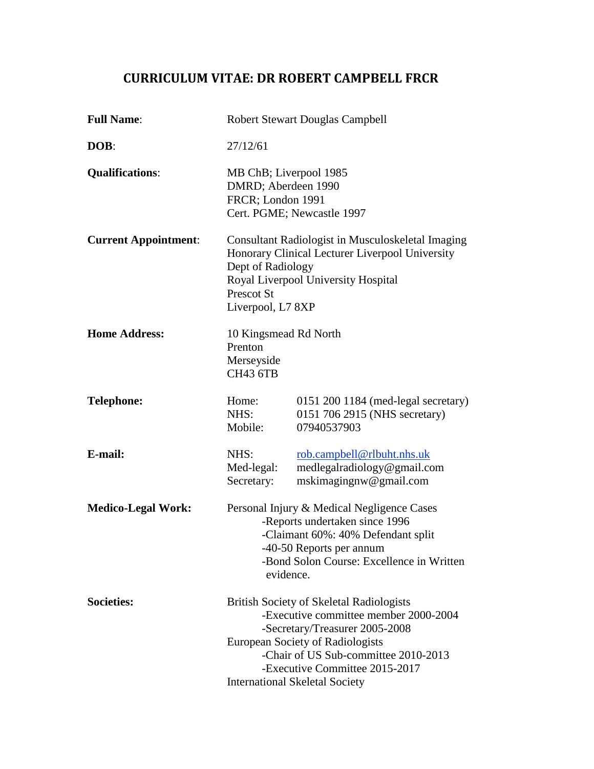# **CURRICULUM VITAE: DR ROBERT CAMPBELL FRCR**

| <b>Full Name:</b>           | <b>Robert Stewart Douglas Campbell</b>                                                                                                                                                                                                                                                   |                                                                                     |
|-----------------------------|------------------------------------------------------------------------------------------------------------------------------------------------------------------------------------------------------------------------------------------------------------------------------------------|-------------------------------------------------------------------------------------|
| DOB:                        | 27/12/61                                                                                                                                                                                                                                                                                 |                                                                                     |
| <b>Qualifications:</b>      | MB ChB; Liverpool 1985<br>DMRD; Aberdeen 1990<br>FRCR; London 1991<br>Cert. PGME; Newcastle 1997                                                                                                                                                                                         |                                                                                     |
| <b>Current Appointment:</b> | Consultant Radiologist in Musculoskeletal Imaging<br>Honorary Clinical Lecturer Liverpool University<br>Dept of Radiology<br>Royal Liverpool University Hospital<br>Prescot St<br>Liverpool, L7 8XP                                                                                      |                                                                                     |
| <b>Home Address:</b>        | 10 Kingsmead Rd North<br>Prenton<br>Merseyside<br><b>CH43 6TB</b>                                                                                                                                                                                                                        |                                                                                     |
| <b>Telephone:</b>           | Home:<br>NHS:<br>Mobile:                                                                                                                                                                                                                                                                 | 0151 200 1184 (med-legal secretary)<br>0151 706 2915 (NHS secretary)<br>07940537903 |
| E-mail:                     | NHS:<br>Med-legal:<br>Secretary:                                                                                                                                                                                                                                                         | rob.campbell@rlbuht.nhs.uk<br>medlegalradiology@gmail.com<br>mskimagingnw@gmail.com |
| <b>Medico-Legal Work:</b>   | Personal Injury & Medical Negligence Cases<br>-Reports undertaken since 1996<br>-Claimant 60%: 40% Defendant split<br>-40-50 Reports per annum<br>-Bond Solon Course: Excellence in Written<br>evidence.                                                                                 |                                                                                     |
| <b>Societies:</b>           | <b>British Society of Skeletal Radiologists</b><br>-Executive committee member 2000-2004<br>-Secretary/Treasurer 2005-2008<br><b>European Society of Radiologists</b><br>-Chair of US Sub-committee 2010-2013<br>-Executive Committee 2015-2017<br><b>International Skeletal Society</b> |                                                                                     |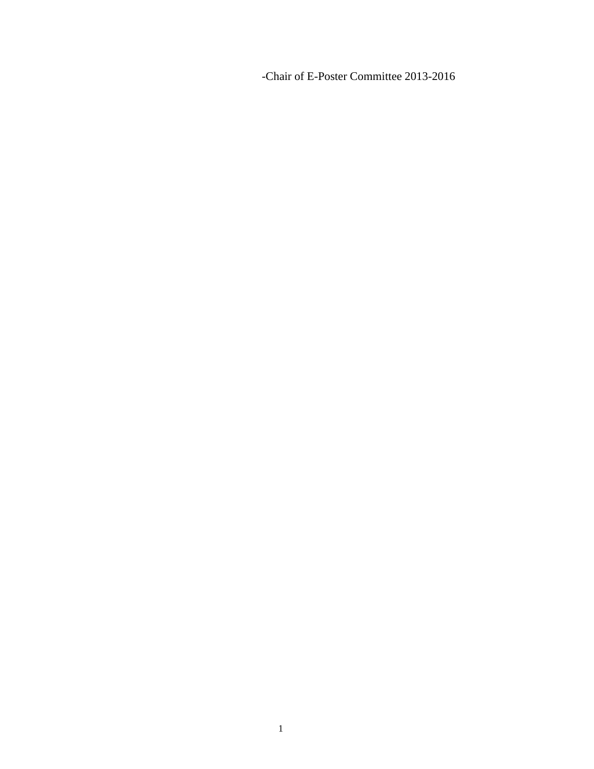-Chair of E-Poster Committee 2013-2016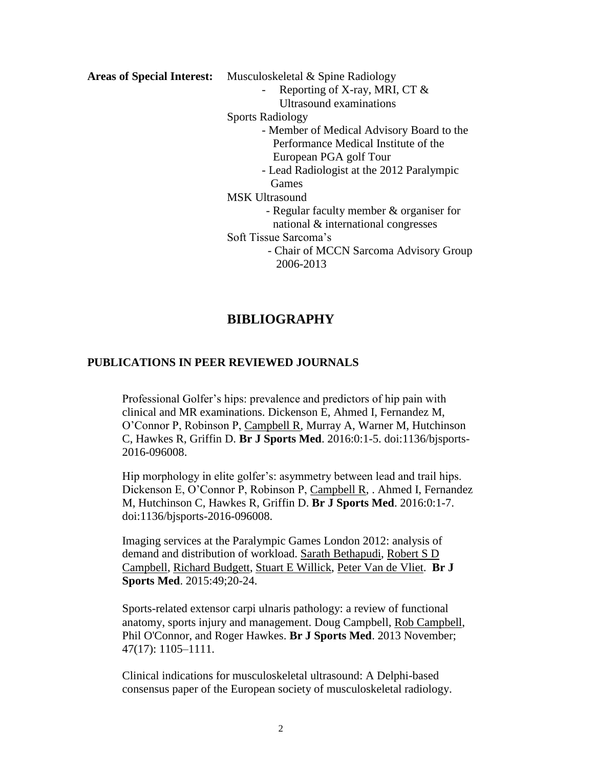**Areas of Special Interest:** Musculoskeletal & Spine Radiology

- Reporting of X-ray, MRI, CT  $&$ Ultrasound examinations

Sports Radiology

- Member of Medical Advisory Board to the Performance Medical Institute of the European PGA golf Tour
	- Lead Radiologist at the 2012 Paralympic Games
- MSK Ultrasound
	- Regular faculty member & organiser for national & international congresses
- Soft Tissue Sarcoma's
	- Chair of MCCN Sarcoma Advisory Group 2006-2013

## **BIBLIOGRAPHY**

### **PUBLICATIONS IN PEER REVIEWED JOURNALS**

Professional Golfer's hips: prevalence and predictors of hip pain with clinical and MR examinations. Dickenson E, Ahmed I, Fernandez M, O'Connor P, Robinson P, Campbell R, Murray A, Warner M, Hutchinson C, Hawkes R, Griffin D. **Br J Sports Med**. 2016:0:1-5. doi:1136/bjsports-2016-096008.

Hip morphology in elite golfer's: asymmetry between lead and trail hips. Dickenson E, O'Connor P, Robinson P, Campbell R, . Ahmed I, Fernandez M, Hutchinson C, Hawkes R, Griffin D. **Br J Sports Med**. 2016:0:1-7. doi:1136/bjsports-2016-096008.

Imaging services at the Paralympic Games London 2012: analysis of demand and distribution of workload. Sarath [Bethapudi,](http://bjsm.bmj.com/search?author1=Sarath+Bethapudi&sortspec=date&submit=Submit) [Robert](http://bjsm.bmj.com/search?author1=Robert+S+D+Campbell&sortspec=date&submit=Submit) S D [Campbell,](http://bjsm.bmj.com/search?author1=Robert+S+D+Campbell&sortspec=date&submit=Submit) [Richard](http://bjsm.bmj.com/search?author1=Richard+Budgett&sortspec=date&submit=Submit) Budgett, Stuart E [Willick,](http://bjsm.bmj.com/search?author1=Stuart+E+Willick&sortspec=date&submit=Submit) [Peter](http://bjsm.bmj.com/search?author1=Peter+Van+de+Vliet&sortspec=date&submit=Submit) Van de Vliet. **Br J Sports Med**. 2015:49;20-24.

Sports-related extensor carpi ulnaris pathology: a review of functional anatomy, sports injury and management. [Doug Campbell,](http://www.ncbi.nlm.nih.gov/pubmed/?term=Campbell%20D%5Bauth%5D) [Rob Campbell,](http://www.ncbi.nlm.nih.gov/pubmed/?term=Campbell%20R%5Bauth%5D) [Phil O'Connor,](http://www.ncbi.nlm.nih.gov/pubmed/?term=O) and Roger Hawkes. **Br J Sports Med**. 2013 November; 47(17): 1105–1111.

Clinical indications for musculoskeletal ultrasound: A Delphi-based consensus paper of the European society of musculoskeletal radiology.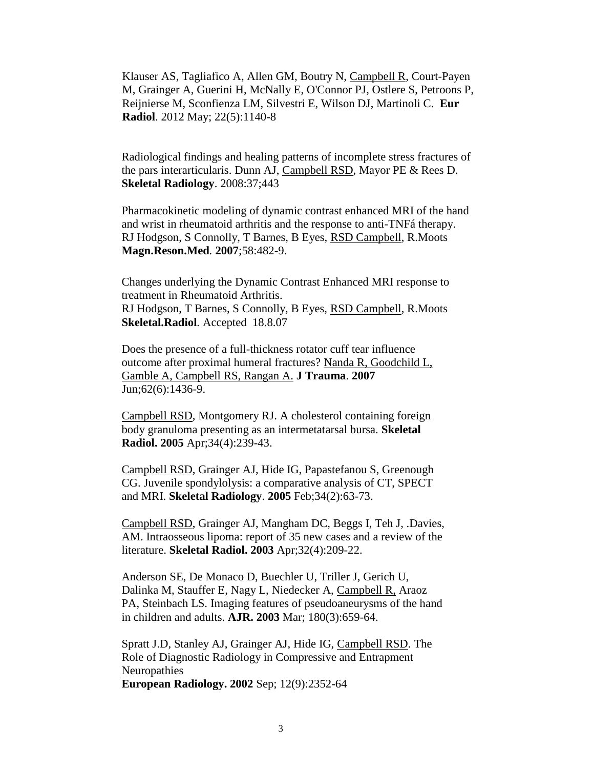[Klauser AS,](http://f1000.com/prime/search/evaluatedpubmed?query=Klauser+AS&queryField=Author&filterBy=EVALUATED_ARTICLES) [Tagliafico A,](http://f1000.com/prime/search/evaluatedpubmed?query=Tagliafico+A&queryField=Author&filterBy=EVALUATED_ARTICLES) [Allen GM,](http://f1000.com/prime/search/evaluatedpubmed?query=Allen+GM&queryField=Author&filterBy=EVALUATED_ARTICLES) [Boutry N,](http://f1000.com/prime/search/evaluatedpubmed?query=Boutry+N&queryField=Author&filterBy=EVALUATED_ARTICLES) [Campbell R,](http://f1000.com/prime/search/evaluatedpubmed?query=Campbell+R&queryField=Author&filterBy=EVALUATED_ARTICLES) [Court-Payen](http://f1000.com/prime/search/evaluatedpubmed?query=Court-Payen+M&queryField=Author&filterBy=EVALUATED_ARTICLES)  [M,](http://f1000.com/prime/search/evaluatedpubmed?query=Court-Payen+M&queryField=Author&filterBy=EVALUATED_ARTICLES) [Grainger A,](http://f1000.com/prime/search/evaluatedpubmed?query=Grainger+A&queryField=Author&filterBy=EVALUATED_ARTICLES) [Guerini H,](http://f1000.com/prime/search/evaluatedpubmed?query=Guerini+H&queryField=Author&filterBy=EVALUATED_ARTICLES) [McNally E,](http://f1000.com/prime/search/evaluatedpubmed?query=McNally+E&queryField=Author&filterBy=EVALUATED_ARTICLES) [O'Connor PJ,](http://f1000.com/prime/search/evaluatedpubmed?query=O) [Ostlere S,](http://f1000.com/prime/search/evaluatedpubmed?query=Ostlere+S&queryField=Author&filterBy=EVALUATED_ARTICLES) [Petroons P,](http://f1000.com/prime/search/evaluatedpubmed?query=Petroons+P&queryField=Author&filterBy=EVALUATED_ARTICLES) [Reijnierse M,](http://f1000.com/prime/search/evaluatedpubmed?query=Reijnierse+M&queryField=Author&filterBy=EVALUATED_ARTICLES) [Sconfienza LM,](http://f1000.com/prime/search/evaluatedpubmed?query=Sconfienza+LM&queryField=Author&filterBy=EVALUATED_ARTICLES) [Silvestri E,](http://f1000.com/prime/search/evaluatedpubmed?query=Silvestri+E&queryField=Author&filterBy=EVALUATED_ARTICLES) [Wilson DJ,](http://f1000.com/prime/search/evaluatedpubmed?query=Wilson+DJ&queryField=Author&filterBy=EVALUATED_ARTICLES) [Martinoli C.](http://f1000.com/prime/search/evaluatedpubmed?query=Martinoli+C&queryField=Author&filterBy=EVALUATED_ARTICLES) **Eur Radiol**. 2012 May; 22(5):1140-8

Radiological findings and healing patterns of incomplete stress fractures of the pars interarticularis. Dunn AJ, Campbell RSD, Mayor PE & Rees D. **Skeletal Radiology**. 2008:37;443

Pharmacokinetic modeling of dynamic contrast enhanced MRI of the hand and wrist in rheumatoid arthritis and the response to anti-TNFá therapy. RJ Hodgson, S Connolly, T Barnes, B Eyes, RSD Campbell, R.Moots **Magn.Reson.Med***.* **2007**;58:482-9.

Changes underlying the Dynamic Contrast Enhanced MRI response to treatment in Rheumatoid Arthritis. RJ Hodgson, T Barnes, S Connolly, B Eyes, RSD Campbell, R.Moots **Skeletal.Radiol***.* Accepted 18.8.07

Does the presence of a full-thickness rotator cuff tear influence outcome after proximal humeral fractures? [Nanda R, Goodchild L,](http://www.ncbi.nlm.nih.gov/sites/entrez?Db=pubmed&Cmd=ShowDetailView&TermToSearch=17563662&ordinalpos=1&itool=EntrezSystem2.PEntrez.Pubmed.Pubmed_ResultsPanel.Pubmed_RVDocSum)  [Gamble A, Campbell RS, Rangan A.](http://www.ncbi.nlm.nih.gov/sites/entrez?Db=pubmed&Cmd=ShowDetailView&TermToSearch=17563662&ordinalpos=1&itool=EntrezSystem2.PEntrez.Pubmed.Pubmed_ResultsPanel.Pubmed_RVDocSum) **J Trauma**. **2007** Jun;62(6):1436-9.

Campbell RSD, Montgomery RJ. A cholesterol containing foreign body granuloma presenting as an intermetatarsal bursa. **Skeletal Radiol. 2005** Apr;34(4):239-43.

Campbell RSD, Grainger AJ, Hide IG, Papastefanou S, Greenough CG. Juvenile spondylolysis: a comparative analysis of CT, SPECT and MRI. **Skeletal Radiology**. **2005** Feb;34(2):63-73.

Campbell RSD, Grainger AJ, Mangham DC, Beggs I, Teh J, .Davies, AM. Intraosseous lipoma: report of 35 new cases and a review of the literature. **Skeletal Radiol. 2003** Apr;32(4):209-22.

Anderson SE, De Monaco D, Buechler U, Triller J, Gerich U, Dalinka M, Stauffer E, Nagy L, Niedecker A, Campbell R, Araoz PA, Steinbach LS. Imaging features of pseudoaneurysms of the hand in children and adults. **AJR. 2003** Mar; 180(3):659-64.

Spratt J.D, Stanley AJ, Grainger AJ, Hide IG, Campbell RSD. The Role of Diagnostic Radiology in Compressive and Entrapment Neuropathies **European Radiology. 2002** Sep; 12(9):2352-64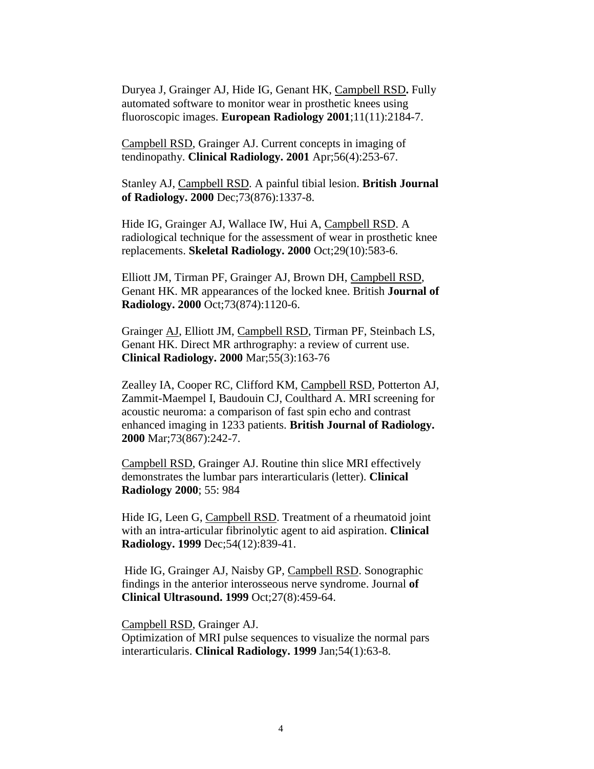Duryea J, Grainger AJ, Hide IG, Genant HK, Campbell RSD**.** Fully automated software to monitor wear in prosthetic knees using fluoroscopic images. **European Radiology 2001**;11(11):2184-7.

Campbell RSD, Grainger AJ. Current concepts in imaging of tendinopathy. **Clinical Radiology. 2001** Apr;56(4):253-67.

Stanley AJ, Campbell RSD. A painful tibial lesion. **British Journal of Radiology. 2000** Dec;73(876):1337-8.

Hide IG, Grainger AJ, Wallace IW, Hui A, Campbell RSD. A radiological technique for the assessment of wear in prosthetic knee replacements. **Skeletal Radiology. 2000** Oct;29(10):583-6.

Elliott JM, Tirman PF, Grainger AJ, Brown DH, Campbell RSD, Genant HK. MR appearances of the locked knee. British **Journal of Radiology. 2000** Oct;73(874):1120-6.

Grainger AJ, Elliott JM, Campbell RSD, Tirman PF, Steinbach LS, Genant HK. Direct MR arthrography: a review of current use. **Clinical Radiology. 2000** Mar;55(3):163-76

Zealley IA, Cooper RC, Clifford KM, Campbell RSD, Potterton AJ, Zammit-Maempel I, Baudouin CJ, Coulthard A. MRI screening for acoustic neuroma: a comparison of fast spin echo and contrast enhanced imaging in 1233 patients. **British Journal of Radiology. 2000** Mar;73(867):242-7.

Campbell RSD, Grainger AJ. Routine thin slice MRI effectively demonstrates the lumbar pars interarticularis (letter). **Clinical Radiology 2000**; 55: 984

Hide IG, Leen G, Campbell RSD. Treatment of a rheumatoid joint with an intra-articular fibrinolytic agent to aid aspiration. **Clinical Radiology. 1999** Dec;54(12):839-41.

Hide IG, Grainger AJ, Naisby GP, Campbell RSD. Sonographic findings in the anterior interosseous nerve syndrome. Journal **of Clinical Ultrasound. 1999** Oct;27(8):459-64.

Campbell RSD, Grainger AJ. Optimization of MRI pulse sequences to visualize the normal pars interarticularis. **Clinical Radiology. 1999** Jan;54(1):63-8.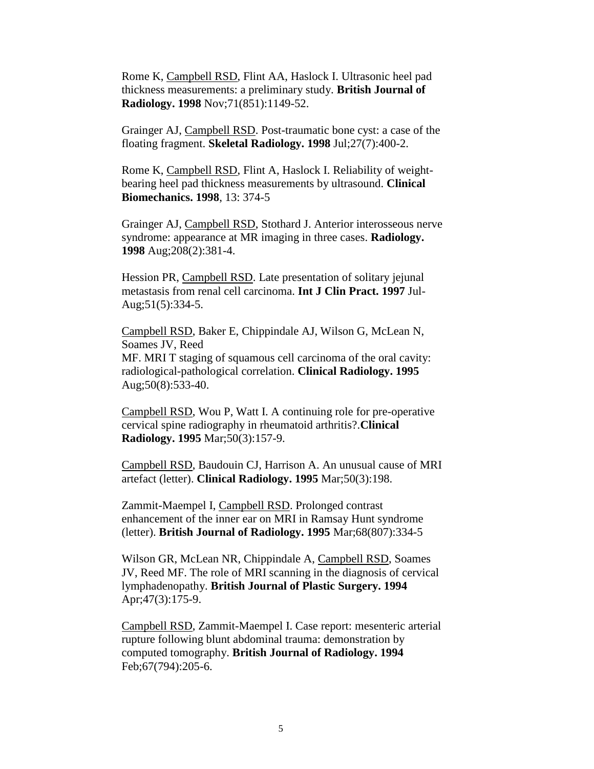Rome K, Campbell RSD, Flint AA, Haslock I. Ultrasonic heel pad thickness measurements: a preliminary study. **British Journal of Radiology. 1998** Nov;71(851):1149-52.

Grainger AJ, Campbell RSD. Post-traumatic bone cyst: a case of the floating fragment. **Skeletal Radiology. 1998** Jul;27(7):400-2.

Rome K, Campbell RSD, Flint A, Haslock I. Reliability of weightbearing heel pad thickness measurements by ultrasound. **Clinical Biomechanics. 1998**, 13: 374-5

Grainger AJ, Campbell RSD, Stothard J. Anterior interosseous nerve syndrome: appearance at MR imaging in three cases. **Radiology. 1998** Aug;208(2):381-4.

Hession PR, Campbell RSD. Late presentation of solitary jejunal metastasis from renal cell carcinoma. **Int J Clin Pract. 1997** Jul-Aug;51(5):334-5.

Campbell RSD, Baker E, Chippindale AJ, Wilson G, McLean N, Soames JV, Reed MF. MRI T staging of squamous cell carcinoma of the oral cavity: radiological-pathological correlation. **Clinical Radiology. 1995** Aug;50(8):533-40.

Campbell RSD, Wou P, Watt I. A continuing role for pre-operative cervical spine radiography in rheumatoid arthritis?.**Clinical Radiology. 1995** Mar;50(3):157-9.

Campbell RSD, Baudouin CJ, Harrison A. An unusual cause of MRI artefact (letter). **Clinical Radiology. 1995** Mar;50(3):198.

Zammit-Maempel I, Campbell RSD. Prolonged contrast enhancement of the inner ear on MRI in Ramsay Hunt syndrome (letter). **British Journal of Radiology. 1995** Mar;68(807):334-5

Wilson GR, McLean NR, Chippindale A, Campbell RSD, Soames JV, Reed MF. The role of MRI scanning in the diagnosis of cervical lymphadenopathy. **British Journal of Plastic Surgery. 1994** Apr;47(3):175-9.

Campbell RSD, Zammit-Maempel I. Case report: mesenteric arterial rupture following blunt abdominal trauma: demonstration by computed tomography. **British Journal of Radiology. 1994** Feb;67(794):205-6.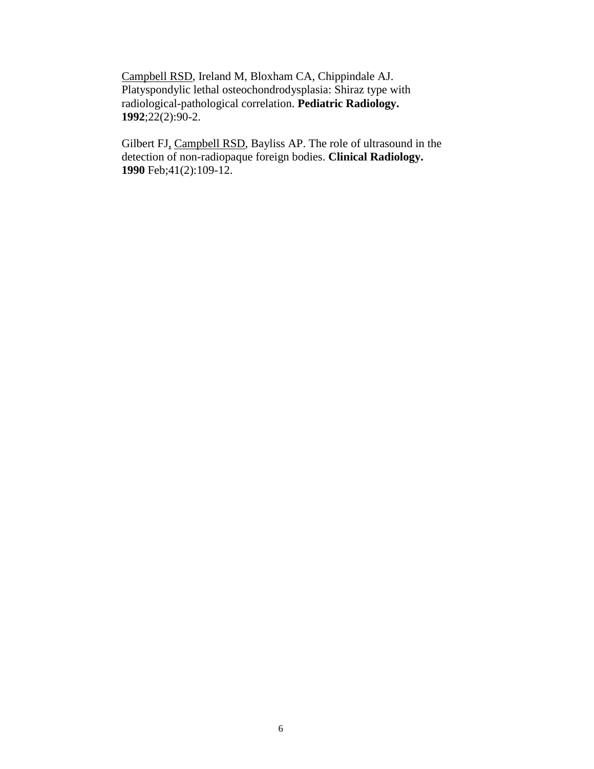Campbell RSD, Ireland M, Bloxham CA, Chippindale AJ. Platyspondylic lethal osteochondrodysplasia: Shiraz type with radiological-pathological correlation. **Pediatric Radiology. 1992**;22(2):90-2.

Gilbert FJ, Campbell RSD, Bayliss AP. The role of ultrasound in the detection of non-radiopaque foreign bodies. **Clinical Radiology. 1990** Feb;41(2):109-12.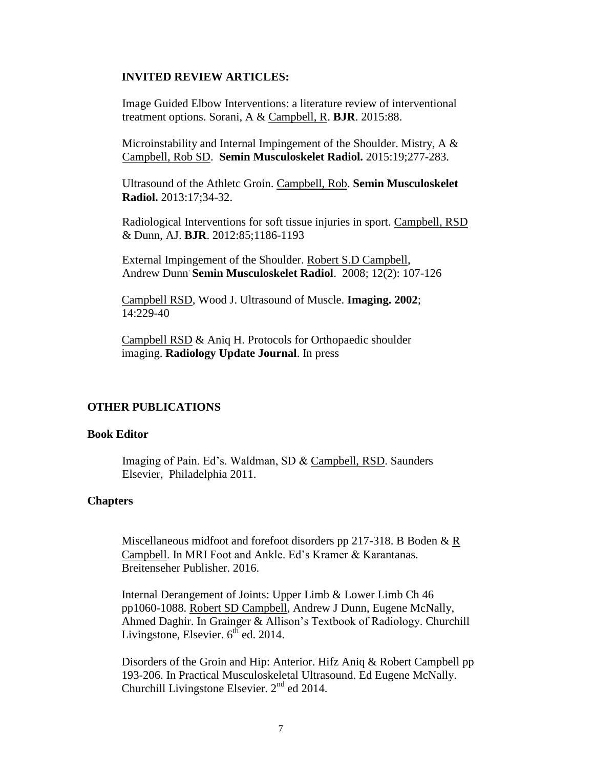#### **INVITED REVIEW ARTICLES:**

Image Guided Elbow Interventions: a literature review of interventional treatment options. Sorani, A & Campbell, R. **BJR**. 2015:88.

Microinstability and Internal Impingement of the Shoulder. Mistry, A & Campbell, Rob SD. **Semin Musculoskelet Radiol.** 2015:19;277-283.

Ultrasound of the Athletc Groin. Campbell, Rob. **Semin Musculoskelet Radiol.** 2013:17;34-32.

Radiological Interventions for soft tissue injuries in sport. Campbell, RSD & Dunn, AJ. **BJR**. 2012:85;1186-1193

External Impingement of the Shoulder. Robert S.D Campbell, Andrew Dunn. **Semin Musculoskelet Radiol**. 2008; 12(2): 107-126

Campbell RSD, Wood J. Ultrasound of Muscle. **Imaging. 2002**; 14:229-40

Campbell RSD & Aniq H. Protocols for Orthopaedic shoulder imaging. **Radiology Update Journal**. In press

#### **OTHER PUBLICATIONS**

#### **Book Editor**

Imaging of Pain. Ed's. Waldman, SD & Campbell, RSD. Saunders Elsevier, Philadelphia 2011.

#### **Chapters**

Miscellaneous midfoot and forefoot disorders pp 217-318. B Boden & R Campbell. In MRI Foot and Ankle. Ed's Kramer & Karantanas. Breitenseher Publisher. 2016.

Internal Derangement of Joints: Upper Limb & Lower Limb Ch 46 pp1060-1088. Robert SD Campbell, Andrew J Dunn, Eugene McNally, Ahmed Daghir. In Grainger & Allison's Textbook of Radiology. Churchill Livingstone, Elsevier.  $6<sup>th</sup>$  ed. 2014.

Disorders of the Groin and Hip: Anterior. Hifz Aniq & Robert Campbell pp 193-206. In Practical Musculoskeletal Ultrasound. Ed Eugene McNally. Churchill Livingstone Elsevier.  $2<sup>nd</sup>$  ed 2014.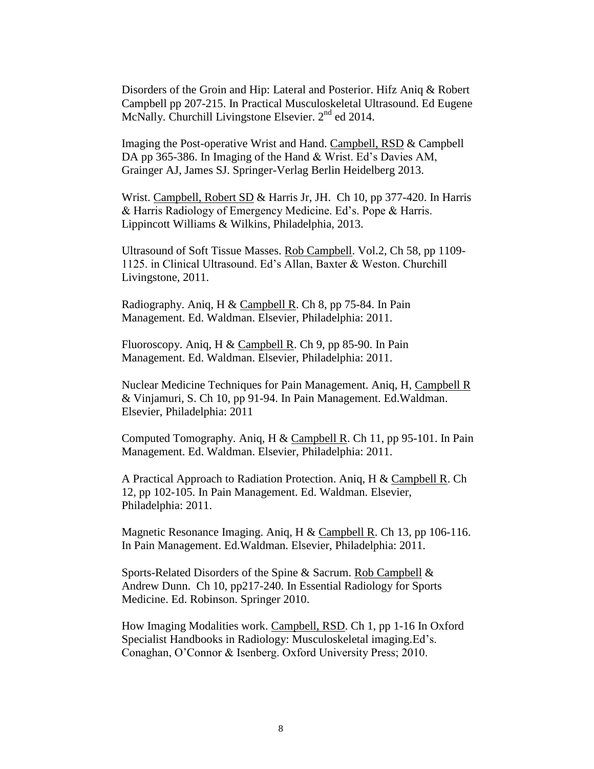Disorders of the Groin and Hip: Lateral and Posterior. Hifz Aniq & Robert Campbell pp 207-215. In Practical Musculoskeletal Ultrasound. Ed Eugene McNally. Churchill Livingstone Elsevier. 2<sup>nd</sup> ed 2014.

Imaging the Post-operative Wrist and Hand. Campbell, RSD & Campbell DA pp 365-386. In Imaging of the Hand & Wrist. Ed's Davies AM, Grainger AJ, James SJ. Springer-Verlag Berlin Heidelberg 2013.

Wrist. Campbell, Robert SD & Harris Jr, JH. Ch 10, pp 377-420. In Harris & Harris Radiology of Emergency Medicine. Ed's. Pope & Harris. Lippincott Williams & Wilkins, Philadelphia, 2013.

Ultrasound of Soft Tissue Masses. Rob Campbell. Vol.2, Ch 58, pp 1109- 1125. in Clinical Ultrasound. Ed's Allan, Baxter & Weston. Churchill Livingstone, 2011.

Radiography. Aniq, H & Campbell R. Ch 8, pp 75-84. In Pain Management. Ed. Waldman. Elsevier, Philadelphia: 2011.

Fluoroscopy. Aniq, H & Campbell R. Ch 9, pp 85-90. In Pain Management. Ed. Waldman. Elsevier, Philadelphia: 2011.

Nuclear Medicine Techniques for Pain Management. Aniq, H, Campbell R & Vinjamuri, S. Ch 10, pp 91-94. In Pain Management. Ed.Waldman. Elsevier, Philadelphia: 2011

Computed Tomography. Aniq, H & Campbell R. Ch 11, pp 95-101. In Pain Management. Ed. Waldman. Elsevier, Philadelphia: 2011.

A Practical Approach to Radiation Protection. Aniq, H & Campbell R. Ch 12, pp 102-105. In Pain Management. Ed. Waldman. Elsevier, Philadelphia: 2011.

Magnetic Resonance Imaging. Aniq, H & Campbell R. Ch 13, pp 106-116. In Pain Management. Ed.Waldman. Elsevier, Philadelphia: 2011.

Sports-Related Disorders of the Spine & Sacrum. Rob Campbell & Andrew Dunn. Ch 10, pp217-240. In Essential Radiology for Sports Medicine. Ed. Robinson. Springer 2010.

How Imaging Modalities work. Campbell, RSD. Ch 1, pp 1-16 In Oxford Specialist Handbooks in Radiology: Musculoskeletal imaging.Ed's. Conaghan, O'Connor & Isenberg. Oxford University Press; 2010.